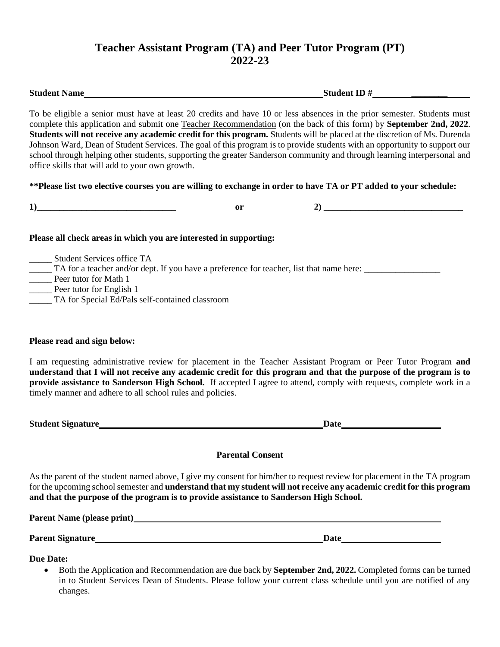## **Teacher Assistant Program (TA) and Peer Tutor Program (PT) 2022-23**

**Student Name Student ID # \_\_\_\_\_\_\_\_**

To be eligible a senior must have at least 20 credits and have 10 or less absences in the prior semester. Students must

|                                                                                        |                         | complete this application and submit one Teacher Recommendation (on the back of this form) by <b>September 2nd, 2022.</b><br>Students will not receive any academic credit for this program. Students will be placed at the discretion of Ms. Durenda<br>Johnson Ward, Dean of Student Services. The goal of this program is to provide students with an opportunity to support our |
|----------------------------------------------------------------------------------------|-------------------------|-------------------------------------------------------------------------------------------------------------------------------------------------------------------------------------------------------------------------------------------------------------------------------------------------------------------------------------------------------------------------------------|
| office skills that will add to your own growth.                                        |                         | school through helping other students, supporting the greater Sanderson community and through learning interpersonal and                                                                                                                                                                                                                                                            |
|                                                                                        |                         | ** Please list two elective courses you are willing to exchange in order to have TA or PT added to your schedule:                                                                                                                                                                                                                                                                   |
| $\boxed{1}$                                                                            | or                      | $\begin{tabular}{c} $2$ & \hspace{1.5cm} {\bf 2)} \end{tabular}$                                                                                                                                                                                                                                                                                                                    |
| Please all check areas in which you are interested in supporting:                      |                         |                                                                                                                                                                                                                                                                                                                                                                                     |
|                                                                                        |                         |                                                                                                                                                                                                                                                                                                                                                                                     |
| Please read and sign below:                                                            |                         |                                                                                                                                                                                                                                                                                                                                                                                     |
| timely manner and adhere to all school rules and policies.                             |                         | I am requesting administrative review for placement in the Teacher Assistant Program or Peer Tutor Program and<br>understand that I will not receive any academic credit for this program and that the purpose of the program is to<br>provide assistance to Sanderson High School. If accepted I agree to attend, comply with requests, complete work in a                         |
| Student Signature<br><u>Student Signature</u>                                          |                         | Date has a series of the series of the series of the series of the series of the series of the series of the series of the series of the series of the series of the series of the series of the series of the series of the s                                                                                                                                                      |
|                                                                                        | <b>Parental Consent</b> |                                                                                                                                                                                                                                                                                                                                                                                     |
| and that the purpose of the program is to provide assistance to Sanderson High School. |                         | As the parent of the student named above, I give my consent for him/her to request review for placement in the TA program<br>for the upcoming school semester and <b>understand that my student will not receive any academic credit for this program</b>                                                                                                                           |

Parent Name (please print) **Parent Name (please print)** 

**Parent Signature Date Date Date** 

**Due Date:**

• Both the Application and Recommendation are due back by **September 2nd, 2022.** Completed forms can be turned in to Student Services Dean of Students. Please follow your current class schedule until you are notified of any changes.